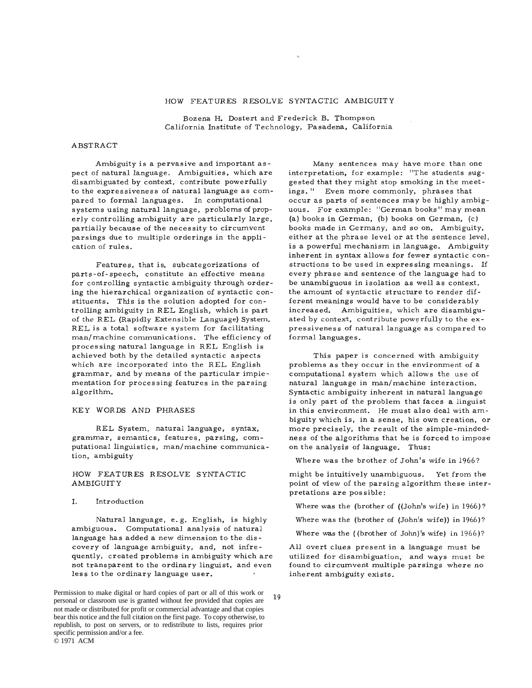## HOW FEATURES RESOLVE SYNTACTIC AMBIGUITY

Bozena H. Dostert and Frederick B. Thompson California Institute of Technology, Pasadena, California

## ABSTRACT

Ambiguity is a pervasive and important aspect of natural language. Ambiguities, which are disambiguated by context, contribute powerfully to the expressiveness of natural language as compared to formal languages. In computational systems using natural language, problems of properly controlling ambiguity are particularly large, partially because of the necessity to circumvent parsings due to multiple orderings in the application of rules.

Features, that is, subcategorizations of parts-of-speech, constitute an effective means for controlling syntactic ambiguity through ordering the hierarchical organization of syntactic constituents. This is the solution adopted for controlling ambiguity in REL English, which is part of the REL (Rapidly Extensible Language) System. REL is a total software system for facilitating man/machine communications. The efficiency of processing natural language in REL English is achieved both by the detailed syntactic aspects which are incorporated into the REL English grammar, and by means of the particular implementation for processing features in the parsing algorithm.

### KEY WORDS AND PHRASES

REL System, natural language, syntax, grammar, semantics, features, parsing, computational linguistics, man/machine communication, ambiguity

HOW FEATURES RESOLVE SYNTACTIC AMBIGUITY

I. Introduction

Natural language, e.g. English, is highly ambiguous. Computational analysis of natural language has added a new dimension to the discovery of language ambiguity, and, not infrequently, created problems in ambiguity which are not transparent to the ordinary linguist, and even less to the ordinary language user.

Permission to make digital or hard copies of part or all of this work or 19 personal or classroom use is granted without fee provided that copies are not made or distributed for profit or commercial advantage and that copies bear this notice and the full citation on the first page. To copy otherwise, to republish, to post on servers, or to redistribute to lists, requires prior specific permission and/or a fee. © 1971 ACM

Many sentences may have more than one interpretation, for example: "The students suggested that they might stop smoking in the meetings." Even more commonly, phrases that occur as parts of sentences may be highly ambiguous. For example: "German books" may mean (a) books in German, (b) books on German, (c) books made in Germany, and so on. Ambiguity, either at the phrase level or at the sentence level, is a powerful mechanism in language. Ambiguity inherent in syntax allows for fewer syntactic constructions to be used in expressing meanings. If every phrase and sentence of the language had to be unambiguous in isolation as well as context, the amount of syntactic structure to render different meanings would have to be considerably increased. Ambiguities, which are disambiguated by context, contribute powerfully to the expressiveness of natural language as compared to formal languages.

This paper is concerned with ambiguity problems as they occur in the environment of a computational system which allows the use of natural language in man/machine interaction. Syntactic ambiguity inherent in natural language is only part of the problem that faces a linguist in this environment. He must also deal with ambiguity which is, in a sense, his own creation, or more precisely, the result of the simple-mindedness of the algorithms that he is forced to impose on the analysis of language. Thus:

Where was the brother of John's wife in 19667

might be intuitively unambiguous. Yet from the point of view of the parsing algorithm these interpretations are possible:

Where was the (brother of ((John's wife) in 1966)?

Where was the (brother of (John's wife)) in 1966)?

Where was the ((brother of John)'s wife) in 1966)?

All overt clues present in a language must be utilized for disambiguation, and ways must be found to circumvent multiple parsings where no inherent ambiguity exists.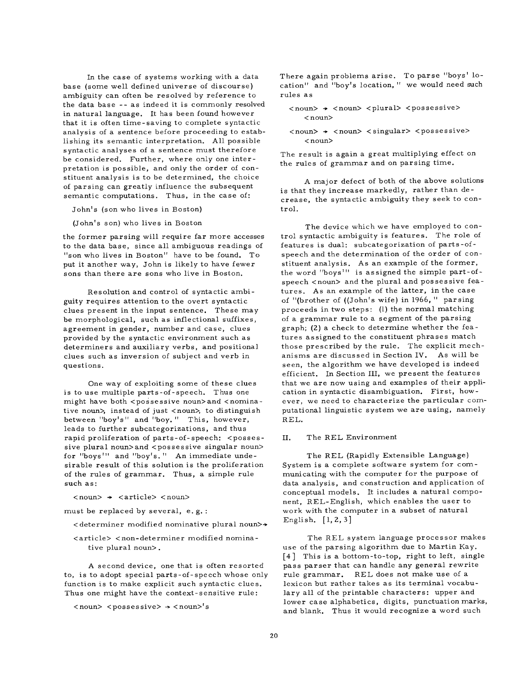In the case of systems working with a data base (some well defined universe of discourse) ambiguity can often be resolved by reference to the data base -- as indeed it is commonly resolved in natural language. It has been found however that it is often time-saving to complete syntactic analysis of a sentence before proceeding to establishing its semantic interpretation. All possible syntactic analyses of a sentence must therefore be considered. Further, where only one interpretation is possible, and only the order of constituent analysis is to be determined, the choice of parsing can greatly influence the subsequent semantic computations. Thus, in the case of:

### John's (son who lives in Boston)

(John's son) who lives in Boston

the former parsing will require far more accesses to the data base, since all ambiguous readings of "son who lives in Boston" have to be found. To put it another way, John is likely to have fewer sons than there are sons who live in Boston.

Resolution and control of syntactic ambiguity requires attention to the overt syntactic clues present in the input sentence. These may be morphological, such as inflectional suffixes, agreement in gender, number and case, clues provided by the syntactic environment such as determiners and auxiliary verbs, and positional clues such as inversion of subject and verb in questions.

One way of exploiting some of these clues is to use multiple parts-of-speech. Thus one might have both <possessive noun>and <nominative noun>, instead of just <noun>, to distinguish between "boy's" and "boy. " This, however, leads to further subcategorizations, and thus rapid proliferation of parts-of-speech: <possessive plural noun>and <possessive singular noun> for "boys'" and "boy's. " An immediate undesirable result of this solution is the proliferation of the rules of grammar. Thus, a simple rule such as:

<noun> > <article> <noun>

must be replaced by several, e.g. :

 $<$  determiner modified nominative plural noun $>$ 

<article> <non-determiner modified nominative plural noun>.

A second device, one that is often resorted to, is to adopt special parts-of-speech whose only function is to make explicit such syntactic clues. Thus one might have the context-sensitive rule:

There again problems arise. To parse "boys' location" and "boy's location, " we would need such rules as

- $\langle$  noun>  $\rightarrow$   $\langle$  noun>  $\langle$  plural>  $\langle$  possessive> < noun>
- $\langle$  noun $\rangle \rightarrow \langle$  noun $\rangle \langle$  singular $\rangle \langle$  possessive $\rangle$ < noun>

The result is again a great multiplying effect on the rules of grammar and on parsing time.

A major defect of both of the above solutions is that they increase markedly, rather than decrease, the syntactic ambiguity they seek to control.

The device which we have employed to control syntactic ambiguity is features. The role of features is dual: subcategorization of parts-ofspeech and the determination of the order of constituent analysis. As an example of the former, the word "boys'" is assigned the simple part-ofspeech <noun> and the plural and possessive features. As an example of the latter, in the case of "(brother of ((John's wife) in 1966, " parsing proceeds in two steps: (i) the normal matching of a grammar rule to a segment of the parsing graph; (2) a check to determine whether the features assigned to the constituent phrases match those prescribed by the rule. The explicit mechanisms are discussed in Section IV. As will be seen, the algorithm we have developed is indeed efficient. In Section III, we present the features that we are now using and examples of their application in syntactic disambiguation. First, however, we need to characterize the particular computational linguistic system we are using, namely REL.

#### II. The REL Environment

The REL (Rapidly Extensible Language) System is a complete software system for communicating with the computer for the purpose of data analysis, and construction and application of conceptual models. It includes a natural component, REZ-English, which enables the user to work with the computer in a subset of natural English. [i, 2,3]

The REL system language processor makes use of the parsing algorithm due to Martin Kay. [4] This is a bottom-to-top, right to left, single pass parser that can handle any general rewrite rule grammar. REL does not make use of a lexicon but rather takes as its terminal vocabulary all of the printable characters: upper and lower case alphabetics, digits, punctuation marks, and blank. Thus it would recognize a word such

 $<$ noun>  $<$ possessive>  $\rightarrow$  <noun>'s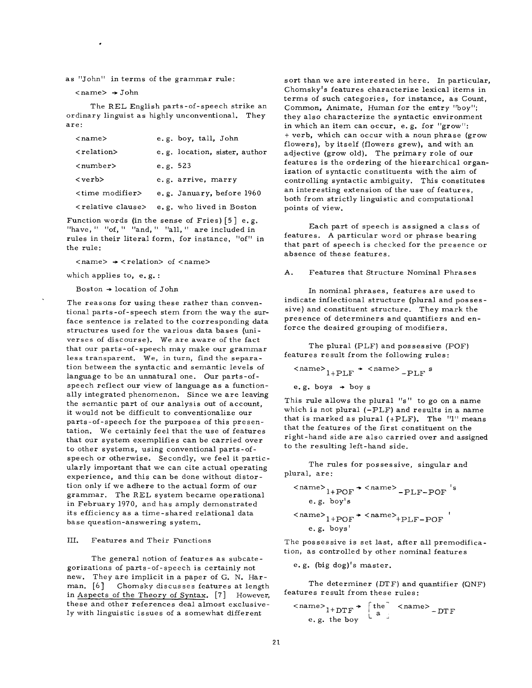as "John" in terms of the grammar rule:

 $\langle$ name $\rangle \rightarrow$  John

The REL English parts-of-speech strike an ordinary linguist as highly unconventional. They are:

| $<$ name $>$                    | e.g. boy, tall, John          |
|---------------------------------|-------------------------------|
| $<$ relation $>$                | e.g. location, sister, author |
| $<$ number $>$                  | e.g. 523                      |
| $<$ verb $>$                    | e.g. arrive, marry            |
| <time modifier=""></time>       | e.g. January, before 1960     |
| <relative clause=""></relative> | e.g. who lived in Boston      |

Function words (in the sense of Fries)  $[5]$  e.g. "have, " "of, " "and, " "all, " are included in rules in their literal form, for instance, "of" in the rule:

 $\langle$  name>  $\rightarrow$   $\langle$  relation> of  $\langle$  name>

which applies to, e.g.:

Boston  $\rightarrow$  location of John

The reasons for using these rather than conventional parts-of-speech stem from the way the surface sentence is related to the corresponding data structures used for the various data bases (universes of discourse). We are aware of the fact that our parts-of-speech may make our grammar less transparent. We, in turn, find the separation between the syntactic and semantic levels of language to be an unnatural one. Our parts-ofspeech reflect our view of language as a functionally integrated phenomenon. Since we are leaving the semantic part of our analysis out of account, it would not be difficult to conventionalize our parts-of-speech for the purposes of this presentation. We certainly feel that the use of features that our system exemplifies can be carried over to other systems, using conventional parts-ofspeech or otherwise. Secondly, we feel it particularly important that we can cite actual operating experience, and this can be done without distortion only if we adhere to the actual form of our grammar. The REL system became operational in February 1970, and has amply demonstrated its efficiency as a time-shared relational data base question-answering system.

# III. Features and Their Functions

The general notion of features as subcategorizations of parts-of-speech is certainly not new. They are implicit in a paper of G. N. Harman. [6] Chomsky discusses features at length in Aspects of the Theory of Syntax. [7] However, these and other references deal almost exclusively with linguistic issues of a somewhat different

sort than we are interested in here. In particular, Chomsky's features characterize lexical items in terms of such categories, for instance, as Count, Common, Animate, Human for the entry "boy"; they also characterize the syntactic environment in which an item can occur, e.g. for "grow": + verb, which can occur with a noun phrase (grow flowers), byitself (flowers grew), and with an adjective (grow old). The primary role of our features is the ordering of the hierarchical organization of syntactic constituents with the aim of controlling syntactic ambiguity. This constitutes an interesting extension of the use of features, both from strictly linguistic and computational points of view.

Each part of speech is assigned a class of features. A particular word or phrase bearing that part of speech is checked for the presence or absence of these features.

A. Features that Structure Nominal Phrases

In nominal phrases, features are used to indicate inflectional structure (plural and possessive) and constituent structure. They mark the presence of determiners and quantifiers and enforce the desired grouping of modifiers.

The plural (PLY) and possessive (POF) features result from the following rules:

$$
\langle
$$
name $\rangle$ <sub>1+PLF</sub>  $\star$   $\langle$ name $\rangle$ <sub>-PLF</sub>  $\circ$ 

e.g. boys  $\rightarrow$  boy s

This rule allows the plural "s" to go on a name which is not plural (-PLY) and results in a name that is marked as plural  $(+PLF)$ . The "1" means that the features of the first constituent on the right-hand side are also carried over and assigned to the resulting left-hand side.

The rules for possessive, singular and plural, are:

$$
\langle
$$
name> $\rangle$ <sub>1+POF</sub>  $\rightarrow$   $\langle$ name $\rangle$  – PLF–POF $\vert$ <sup>s</sup>  
e.g. boy's  
 $\langle$ name $\rangle$ <sub>1+POF</sub>  $\rightarrow$   $\langle$ name $\rangle$ <sub>+PLF–POF</sub> $\vert$   
e.g. boys'

The possessive is set last, after all premodification, as controlled by other nominal features

e.g. (big dog)'s master.

The determiner (DTF) and quantifier (QNF) features result from these rules:

$$
\langle \text{name} \rangle_{1+DTF} \uparrow \text{[the]}\langle \text{name} \rangle_{-DTF}
$$
  
e.g. the boy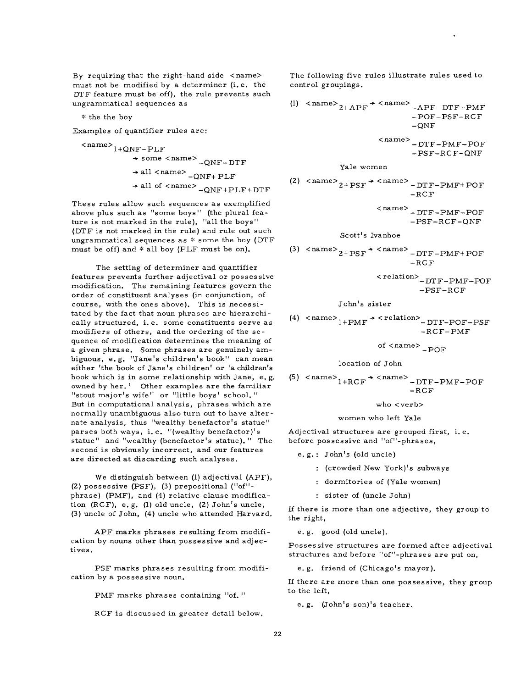By requiring that the right-hand side  $\langle$  name> must not be modified by a determiner (i. e. the DTF feature must be off), the rule prevents such ungrammatical sequences as

\* the the boy

Examples of quantifier rules are:

$$
\langle
$$
name> $\rangle$ <sub>1+QNF-PLF</sub>  
\n
$$
\rightarrow
$$
 some  $\langle$ name $\rangle$ <sub>-QNF-DTF</sub>  
\n
$$
\rightarrow
$$
 all  $\langle$ name $\rangle$ <sub>-QNF+PLF</sub>  
\n
$$
\rightarrow
$$
 all of  $\langle$ name $\rangle$ <sub>-QNF+PLF+DTF</sub>

These rules allow such sequences as exemplified above plus such as "some boys" (the plural feature is not marked in the rule), "all the boys" (DTF is not marked in the rule) and rule out such ungrammatical sequences as \* some the boy (DTF must be off) and  $*$  all boy (PLF must be on).

The setting of determiner and quantifier features prevents further adjectival or possessive modification. The remaining features govern the order of constituent analyses (in conjunction, of course, with the ones above). This is necessitated by the fact that noun phrases are hierarchically structured, i.e. some constituents serve as modifiers of others, and the ordering of the sequence of modification determines the meaning of a given phrase. Some phrases are genuinely ambiguous, e.g. "Jane's children's book" can mean either 'the book of Jane's children' or 'a children's book which is in some relationship with Jane, e.g. owned by her.<sup>1</sup> Other examples are the familiar "stout major's wife" or "little boys' school." But in computational analysis, phrases which are normally unambiguous also turn out to have alternate analysis, thus "wealthy benefactor's statue" parses both ways, i.e. "(wealthy benefactor)'s statue" and "wealthy (benefactor's statue). " The second is obviously incorrect, and our features are directed at discarding such analyses.

We distinguish between (1) adjectival (APF), (2) possessive (PSF), (3) prepositional ("of" phrase) (PMF), and (4) relative clause modification (RCF), e.g. (i) old uncle, (2) John's uncle, (3) uncle of John, (4) uncle who attended Harvard.

APF marks phrases resulting from modification by nouns other than possessive and adjectives.

PSF marks phrases resulting from modification by a possessive noun.

PMF marks phrases containing "of."

RCF is discussed in greater detail below.

The following five rules illustrate rules used to control groupings.

(1) 
$$
<
$$
 name>  $_{2+{\rm APP}} \star < {\rm name} > _{\rm-APF-DTF-PMF}$  -POF -PSF -RCF  $-$ QNF  $<$  name>  $-$ DTF-PMF -POF -PSF -RCF -QNF  $-$  Yale women

 $(2)$  < name  $2+PSF$   $\rightarrow$  stratifie  $\rightarrow$  DTF-PMF+ POF  $-RCF$  $\langle$  name>

$$
-DTF-PMF-POF-PSF-RCF-QNF
$$

Scott's Ivanhoe

(3)  $\langle$  name> $_{2+PSF}$   $\rightarrow$   $\langle$  name> $_{-DTF-PMF+POF}$  $-RCF$ 

< relation> - DTF-PMF-POF -PSF-RCF

John's sister

(4) 
$$
\langle
$$
name><sup>></sup><sub>1+PMF</sub>  $\rightarrow$   $\langle$  relation<sup>></sup><sub>-DTF-POF-PSF</sub>  
-RCF-PMF

of <name> <sub>- POF</sub>

location of John

$$
+ \text{name} > \text{name} > 1 + \text{RCF} \rightarrow \text{name} > \text{DTF-PMF-POF}
$$
  
- \text{RCF}

who < verb>

women who left Yale

Adjectival structures are grouped first, i.e. before possessive and "of"-phrases,

e. g. : John's (old uncle)

: (crowded New York)'s subways

• dormitories of (Yale women)

: sister of (uncle John)

If there is more than one adjective, they group to the right,

e.g. good (old uncle).

Possessive structures are formed after adjectival structures and before "of"-phrases are put on,

e.g. friend of (Chicago's mayor).

If there are more than one possessive, they group to the left,

e.g. (John's son)'s teacher.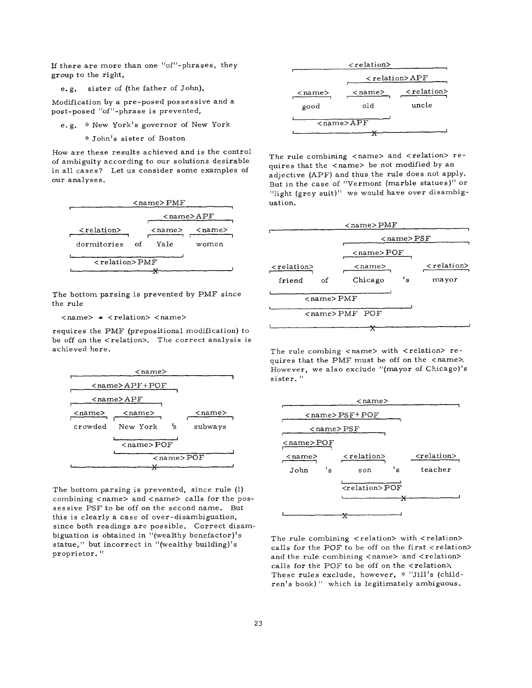If there are more than one "of"-phrases, they group to the right,

e.g. sister of (the father of John).

Modification by a pre-posed possessive and a post-posed "of"-phrase is prevented,

e.g. \* New York's governor of New York

-'~ John's sister of Boston

How are these results achieved and is the control of ambiguity according *to* our solutions desirable in all cases? Let us consider some examples of our analyses.



The bottom parsing is prevented by PMF since the rule

<name> > <relation> <name>

requires the PMF (prepositional modification) to be off on the <relation>. The correct analysis is achieved here.



The bottom parsing is prevented, since rule (i) combining <name> and <name> calls for the possessive PSF to be off on the second name. But this is clearly a case of over-disambiguation, since both readings are possible. Correct disambiguation is obtained in "(wealthy benefactor)'s statue, " but incorrect in "(wealthy building)'s proprietor. "

|     | $<$ relation>APF                   |
|-----|------------------------------------|
|     |                                    |
|     | <relation></relation>              |
| old | uncle                              |
|     | $<$ name $>$<br>$\langle$ name>APF |

The rule combining  $\langle$  name> and  $\langle$  relation> requires that the <name> be not modified by an adjective (APF) and thus the rule does not apply. But in the case of "Vermont (marble statues)" or "light (grey suit)" we would have over disambiguation.

|                       |                  | $<$ name $>$ PMF     |                  |                       |
|-----------------------|------------------|----------------------|------------------|-----------------------|
|                       |                  |                      | $<$ name $>$ PSF |                       |
|                       |                  | $<$ name $>$ POF     |                  |                       |
| <relation></relation> |                  | $<$ name $>$         |                  | <relation></relation> |
| friend                | οf               | Chicago              | 's               | mayor                 |
|                       | $<$ name $>$ PMF |                      |                  |                       |
|                       |                  | <name>PMF POF</name> |                  |                       |
|                       |                  |                      |                  |                       |

The rule combing  $\langle$  name> with  $\langle$  relation> requires that the PMF must be off on the <name>. However, we also exclude "(mayor of Chicago)'s sister."



The rule combining <relation> with <relation> calls for the POF to be off on the first <relation> and the rule combining <name> and <relation> calls for the POF to be off on the <relation>. These rules exclude, however, \* "Jill's (children's book)" which is legitimately ambiguous.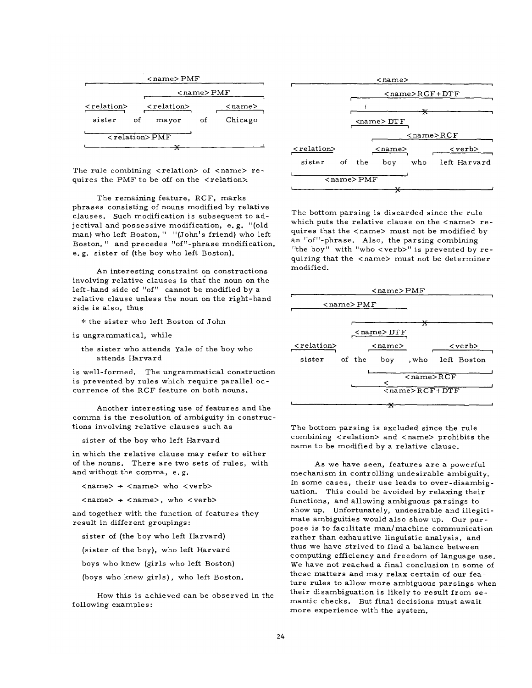|                               |    | $<$ name> $PMF$       |                  |               |
|-------------------------------|----|-----------------------|------------------|---------------|
|                               |    |                       | $<$ name $>$ PMF |               |
| <relation></relation>         |    | <relation></relation> |                  | <name></name> |
| sister                        | оf | mayor                 | οf               | Chicago       |
| $\overline{<}$ relation > PMF |    |                       |                  |               |
|                               |    |                       |                  |               |

The rule combining <relation> of <name> requires the PMF to be off on the  $\le$ relation $\ge$ .

The remaining feature, RCF, marks phrases consisting of nouns modified by relative clauses. Such modification is subsequent to adjectival and possessive modification, e.g. "(old man) who left Boston, " "(John's friend) who left Boston," and precedes "of"-phrase modification, e.g. sister of (the boy who left Boston).

An interesting constraint on constructions involving relative clauses is that the noun on the left-hand side of "of" cannot be modified by a relative clause unless the noun on the right-hand side is also, thus

~ the sister who left Boston of John

- is ungrammatical, while
	- the sister who attends Yale of the boy who attends Harvard

is well-formed. The ungrammatical construction is prevented by rules which require parallel occurrence of the RCF feature on both nouns.

Another interesting use of features and the comma is the resolution of ambiguity in constructions involving relative clauses such as

sister of the boy who left Harvard

in which the relative clause may refer to either of the nouns. There are two sets of rules, with and without the comma, e.g.

 $\langle$  name>  $\rightarrow$   $\langle$  name> who  $\langle$  verb>

 $\langle$ name>  $\rightarrow$   $\langle$ name>, who  $\langle$ verb>

and together with the function of features they re sult in different groupings :

sister of (the boy who left Harvard)

(sister of the boy), who left Harvard

boys who knew (girls who left Boston)

(boys who knew girls), who left Boston.

How this is achieved can be observed in the following examples:



The bottom parsing is discarded since the rule which puts the relative clause on the  $\langle$  name $\rangle$  requires that the  $\langle$  name $\rangle$  must not be modified by an "of"-phrase. Also, the parsing combining "the boy" with "who <verb>" is prevented by requiring that the <name> must not be determiner modified.

|                       | $<$ name $>$ PMF     |              |
|-----------------------|----------------------|--------------|
| $<$ name $>$ PMF      |                      |              |
|                       |                      |              |
|                       | $<$ name $>$ DT F    |              |
| <relation></relation> | $<$ name $>$         | $<$ verb $>$ |
| sister<br>of the      | boy, who left Boston |              |
|                       | $<$ name $>$ RCF     |              |
|                       | $<$ name $>$ RCF+DTF |              |
|                       |                      |              |

The bottom parsing is excluded since the rule combining <relation> and <name> prohibits the name to be modified by a relative clause.

As we have seen, features are a powerful mechanism in controlling undesirable ambiguity. In some cases, their use leads to over-disambiguation. This could be avoided by relaxing their functions, and allowing ambiguous parsings to show up. Unfortunately, undesirable and illegitimate ambiguities would also show up. Our purpose is to facilitate man/machine communication rather than exhaustive linguistic analysis, and thus we have strived to find a balance between computing efficiency and freedom of language use. We have not reached a final conclusion in some of these matters and may relax certain of our feature rules to allow more ambiguous parsings when their disambiguation is likely to result from semantic checks. But final decisions must await more experience with the system.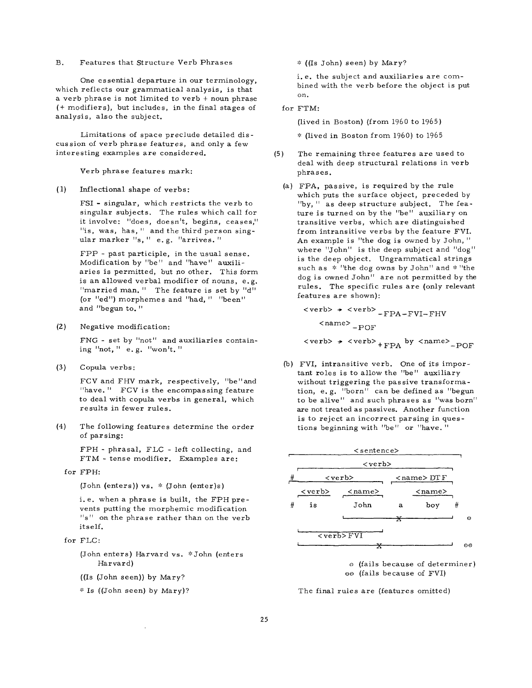B. Features that Structure Verb Phrases

One essential departure in our terminology, which reflects our grammatical analysis, is that a verb phrase is not limited to verb + noun phrase (+ modifiers), but includes, in the final stages of analysis, also the subject.

Limitations of space preclude detailed discussion of verb phrase features, and only a few interesting examples are considered.

Verb phrase features mark:

(1) Inflectional shape of verbs:

FSI - singular, which restricts the verb to singular subjects. The rules which call for it involve: "does, doesn't, begins, ceases," "is, was, has, " and the third person singular marker "s, " e.g. "arrives. "

FPP - past participle, in the usual sense. Modification by "be" and "have" auxiliaries is permitted, but no other. This form is an allowed verbal modifier of nouns, e.g. "married man." The feature is set by "d" (or "ed") morphemes and "had, " "been" and "begun to. "

**(2)** Negative modification:

FNG **-** set by "not" and auxiliaries containing "not, " e.g. "won't."

(3) Copula verbs :

FCV and FHV mark, respectively, "be"and "have." FCV is the encompassing feature to deal with copula verbs in general, which results in fewer rules.

(4) The following features determine the order of parsing:

> FPH - phrasal, FLC - left collecting, and FTM **-** tense modifier. Examples are:

for FPH:

(John (enters)) vs. \* (John (enter)s)

i.e. when a phrase is built, the FPH prevents putting the morphemic modification "s" on the phrase rather than on the verb itself.

#### for FLC:

(John enters) Harvard vs. \*John (enters Harvard)

((Is (John seen)) by Mary?

• Is ((John seen) by Mary)?

\* ((Is John) seen) by Mary?

i.e. the subject and auxiliaries are combined with the verb before the object is put on.

for FTM:

(lived in Boston) (from 1960 to 1965)

\* (lived in Boston from 1960) to 1965

- (5) The remaining three features are used to deal with deep structural relations in verb phrases.
	- **(a)**  FPA, passive, is required by the rule which puts the surface object, preceded by "by, " as deep structure subject. The feature is turned on by the "be" auxiliary on transitive verbs, which are distinguished from intransitive verbs by the feature FVI. An example is "the dog is owned by John, " where "John" is the deep subject and "dog" is the deep object. Ungrammatical strings such as  $*$  "the dog owns by John" and  $*$  "the dog is owned John" are not permitted by the rules. The specific rules are (only relevant features are shown):

$$
+  -FPA-FVI-FHV\n -POF
$$

$$
\rightarrow  +FPA by  =POF
$$

(b) FVI, intransitive verb. One of its important roles is to allow the "be" auxiliary without triggering the passive transformation, e.g. "born" can be defined as "begun to be alive" and such phrases as "was born" are not treated as passives. Another function is to reject an incorrect parsing in questions beginning with "be" or "have. "



o (fails because of determiner) eo (fails because of FVI)

The final rules are (features omitted)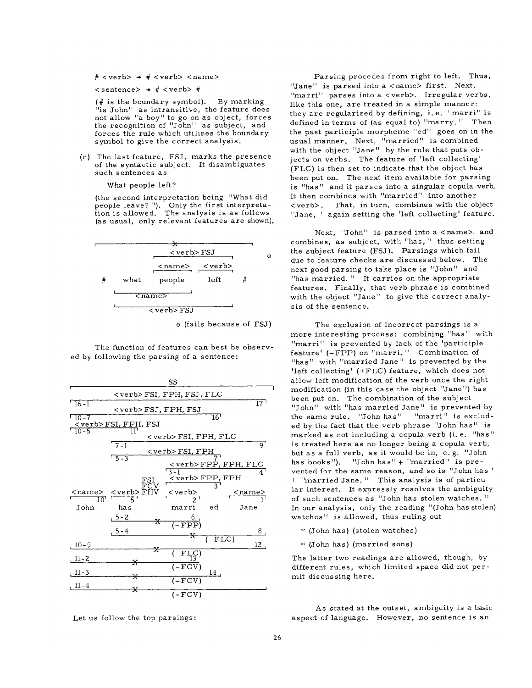# <verb>  $\rightarrow$  # <verb> <name>

 $\langle$  sentence $\rangle$   $\rightarrow$   $\#$   $\langle$  verb $\rangle$   $\#$ 

(# is the boundary symbol). By marking "is John" as intransitive, the feature does not allow "a boy" to go on as object, forces the recognition of "John" as subject, and forces the rule which utilizes the boundary symbol to give the correct analysis.

(c) The last feature, FSJ, marks the presenc of the syntactic subject. It disambiguates such sentences as

#### What people left?

(the second interpretation being "What did people leave? "). Only the first interpret tion is allowed. The analysis is as follows (as usual, only relevant features are shown).



o (falls because of FSJ)

The function of features can best be observed by following the parsing of a sentence:

|                                      |                  |            | SS                                                    |                |               |
|--------------------------------------|------------------|------------|-------------------------------------------------------|----------------|---------------|
|                                      |                  |            | <verb> FSI, FPH, FSJ, FLC</verb>                      |                |               |
| $'$ 16 - 1                           |                  |            | <verb>FSJ,FPH,FSJ</verb>                              |                | 17 '          |
| ' 10-7                               |                  |            |                                                       | 16'            |               |
| $\frac{\text{}}{10-5}$ FSI, FPH, FSJ |                  |            |                                                       |                |               |
|                                      |                  |            | $<$ verb> FSI, FPH, FLC                               |                |               |
|                                      | $7 - 1$          |            |                                                       |                | 9             |
|                                      |                  |            | <verb> FSI, FPH</verb>                                |                |               |
|                                      | $5 - 3$          |            |                                                       |                |               |
|                                      |                  |            | <verb>FPP, FPH, FL<br/><math>\sqrt{3-1}</math></verb> |                |               |
|                                      |                  |            | <verb>FPP,FPH</verb>                                  |                |               |
|                                      |                  | FSI<br>FCV |                                                       | $\overline{3}$ |               |
| <name></name>                        | <verb>FHV</verb> |            | <verb></verb>                                         |                | <name></name> |
| ١Λ                                   |                  |            |                                                       |                |               |
| John                                 | has              |            | marri                                                 | еd             | Jane          |
|                                      | $5 - 2$          | ⋇          |                                                       |                |               |
|                                      | $5 - 4$          |            | $(-FPP)$                                              |                | 8             |
|                                      |                  |            |                                                       | FLC            |               |
| $10 - 9$                             |                  |            |                                                       |                | 12            |
|                                      |                  | X          | н,                                                    |                |               |
| 11 - 2                               | x                |            |                                                       |                |               |
| 11-3                                 |                  |            | (–FCV)                                                | 14             |               |
|                                      | X                |            | - FCV)                                                |                |               |
| 11-4                                 | Х                |            |                                                       |                |               |
|                                      |                  |            | (-FCV)                                                |                |               |



Parsing procedes from right to left. Thus, "Jane" is parsed into a  $\langle$  name> first. Next, "marri" parses into a <verb>. Irregular verbs, like this one, are treated in a simple manner: they are regularized by defining, i.e. "marri" is defined in terms of (as equal to) "marry. " Then the past participle morpheme "ed" goes on in the usual manner. Next, "married" is combined with the object "Jane" by the rule that puts objects on verbs. The feature of 'left collecting' (FLC) is then set to indicate that the object has been put on. The next item available for parsing is "has" and it parses into a singular copula verb. It then combines with "married" into another <verb>. That, in turn, combines with the object "Jane, " again setting the 'left collecting' feature.

Next, "John" is parsed into a  $\langle$  name>, and combines, as subject, with "has, " thus setting the subject feature (FSJ). Parsings which fail due to feature checks are discussed below. The next good parsing to take place is "John" and "has married. " It carries on the appropriate features. Finally, that verb phrase is combined with the object "Jane" to give the correct analysis of the sentence.

The exclusion of incorrect parsings is a more interesting process: combining "has" with "marri" is prevented by lack of the <sup>1</sup>participle feature' (-FPP) on "marri. " Combination of "has" with "married Jane" is prevented by the 'left collecting' (+FLC) feature, which does not allow left modification of the verb once the right modification (in this case the object "Jane") has been put on. The combination of the subject "John" with "has married Jane" is prevented by the same rule. "John has" "marri" is excluded by the fact that the verb phrase "John has" is marked as not including a copula verb (i. e. "has" is treated here as no longer being a copula verb, but as a full verb, as it would be in, e.g. "John has books"). "John has" + "married" is prevented for the same reason, and so is "John has" + "married Jane. " This analysis is of particular interest. It expressly resolves the ambiguity of such sentences as "John has stolen watches. " In our analysis, only the reading "(John has stolen) watches" is allowed, thus ruling out

- \* (John has) (stolen watches)
- \* (John has) (married sons)

The latter two readings are allowed, though, by different rules, which limited space did not permit discussing here.

As stated at the outset, ambiguity is a basic aspect of language. However, no sentence is an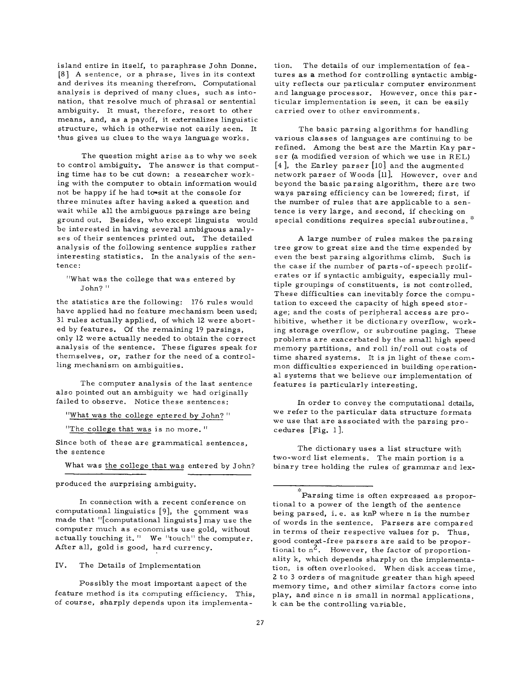island entire in itself, to paraphrase John Donne. [8] A sentence, or a phrase, lives in its context and derives its meaning therefrom. Computational analysis is deprived of many clues, such as intonation, that resolve much of phrasal or sentential ambiguity. It must, therefore, resort to other means, and, as a payoff, it externalizes linguistic structure, which is otherwise not easily seen. It thus gives us clues to the ways language works.

The question might arise as to why we seek to control ambiguity. The answer is that computing time has to be cut down: a researcher working with the computer to obtain information would not be happy if he had to sit at the console for three minutes after having asked a question and wait while all the ambiguous parsings are being ground out. Besides, who except linguists would be interested in having several ambiguous analyses of their sentences printed out. The detailed analysis of the following sentence supplies rather interesting statistics. In the analysis of the sentence :

"What was the college that was entered by John? "

the statistics are the following: 176 rules would have applied had no feature mechanism been used; 31 rules actually applied, of which 12 were aborted by features. Of the remaining 19 parsings, only 12 were actually needed to obtain the correct analysis of the sentence. These figures speak for themselves, or, rather for the need of a controlling mechanism on ambiguities.

The computer analysis of the last sentence also pointed out an ambiguity we had originally failed to observe. Notice these sentences:

"What was the college entered by John?"

"The college that was is no more. "

Since both of these are grammatical sentences, the sentence

What was the college that was entered by John?

produced the surprising ambiguity.

In connection with a recent conference on computational linguistics [9], the comment was made that "[computational linguists] may use the computer much as economists use gold, without actually touching it. " We "touch" the computer. After all, gold is good, hard currency.

IV. The Details of Implementation

Possibly the most important aspect of the feature method is its computing efficiency. This, of course, sharply depends upon its implementation. The details of our implementation of features as a method for controlling syntactic ambiguity reflects our particular computer environment and language processor. However, once this particular implementation is seen, it can be easily carried over to other environments.

The basic parsing algorithms for handling various classes of languages are continuing to be refined. Among the best are the Martin Kay parser (a modified version of which we use in REL) [4], the Earley parser [10] and the augmented network parser of Woods [ii]. However, over and beyond the basic parsing algorithm, there are two ways parsing efficiency can be lowered; first, if the number of rules that are applicable to a sentence is very large, and second, if checking on special conditions requires special subroutines.\*

A large number of rules makes the parsing tree grow to great size and the time expended by even the best parsing algorithms climb. Such is the case if the number of parts-of-speech proliferates or if syntactic ambiguity, especially multiple groupings of constituents, is not controlled. These difficulties can inevitably force the computation to exceed the capacity of high speed storage; and the costs of peripheral access are prohibitive, whether it be dictionary overflow, working storage overflow, or subroutine paging. These problems are exacerbated by the small high speed memory partitions, and roll in/roll out costs of time shared systems. It is in light of these common difficulties experienced in building operational systems that we believe our implementation of features is particularly interesting.

In order to convey the computational details, we refer to the particular data structure formats we use that are associated with the parsing procedures [Fig. i].

The dictionary uses a list structure with two-word list elements. The main portion is a binary tree holding the rules of grammar and lex-

<sup>#</sup>  Parsing time is often expressed as proportional to a power of the length of the sentence being parsed, i.e. as knP where n is the number of words in the sentence. Parsers are compared in terms of their respective values for p. Thus, good context-free parsers are said to be proportional to  $n^2$ . However, the factor of proportionality k, which depends sharply on the implementation, is often overlooked. When disk access time, 2 to 3 orders of magnitude greater than high speed memory time, and other similar factors come into play, and since n is small in normal applications, k can be the controlling variable.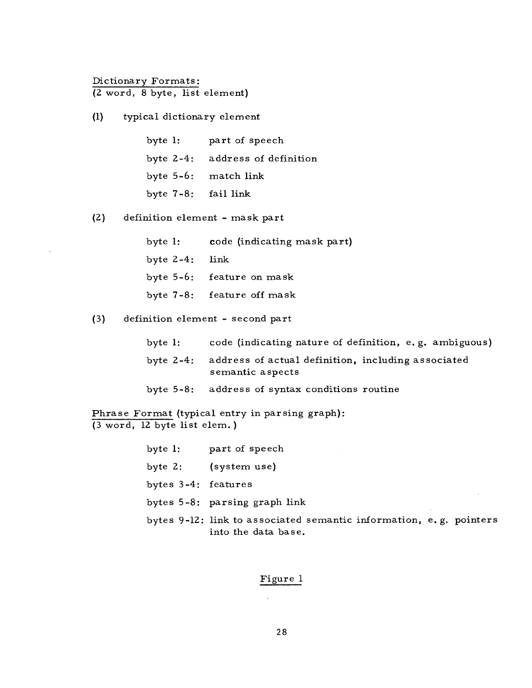# Dictionary Formats : (2 word, 8 byte, list element)

(1) typical dictionary element

| byte $l$ :          | part of speech        |
|---------------------|-----------------------|
| byte $2-4$ :        | address of definition |
| byte $5-6$ :        | match link            |
| byte 7-8: fail link |                       |

(2) definition element - mask part

byte 1: code (indicating mask part)

byte  $2-4$ : link

 $\ddot{\phantom{0}}$ 

- byte 5-6: feature on mask
- byte 7-8: feature off mask

(3) definition element - second part

- byte 1: code (indicating nature of definition, e.g. ambiguous)
- byte 2-4: address of actual definition, including associated semantic aspects
- byte 5-8: address of syntax conditions routine

Phrase Format (typical entry in parsing graph): (3 word, 12 byte list elem. )

| byte $l$ :          | part of speech                                                                            |
|---------------------|-------------------------------------------------------------------------------------------|
| byte 2:             | (system use)                                                                              |
| bytes 3-4: features |                                                                                           |
|                     | bytes 5-8: parsing graph link                                                             |
|                     | bytes 9-12: link to associated semantic information, e.g. pointers<br>into the data base. |

# Figure 1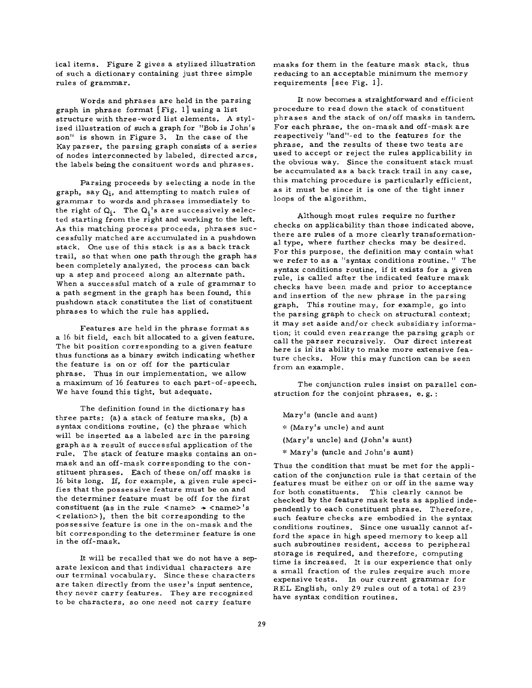ical items. Figure 2 gives a stylized illustration of such a dictionary containing just three simple rules of grammar.

Words and phrases are held in the parsing graph in phrase format [Fig. 1] using a list structure with three-word list elements. A stylized illustration of such a graph for "Bob is John's son" is shown in Figure 3. In the case of the Kayparser, the parsing graph consists of a series of nodes interconnected by labeled, directed arcs, the labels being the consituent words and phrases.

Parsing proceeds by selecting a node in the graph, say  $Q_i$ , and attempting to match rules of grammar to words and phrases immediately to the right of  $Q_i$ . The  $Q_i$ 's are successively selected starting from the right and working to the left. As this matching process proceeds, phrases successfully matched are accumulated in a pushdown stack. One use of this stack is as a back track trail, so that when one path through the graph has been completely analyzed, the process can back up a step and proceed along an alternate path. When a successful match of a rule of grammar to a path segment in the graph has been found, this pushdown stack constitutes the list of constituent phrases to which the rule has applied,

Features are held in the phrase format as a 16 bit field, each bit allocated to a given feature. The bit position corresponding to a given feature thus functions as a binary switch indicating whether the feature is on or off for the particular phrase. Thus in our implementation, we allow a maximum of 16 features to each part-of-speech. We have found this tight, but adequate.

The definition found in the dictionary has three parts: (a) a stack of feature masks, (b) a syntax conditions routine, (c) the phrase which will be inserted as a labeled arc in the parsing graph as a result of successful application of the rule. The stack of feature masks contains an onmask and an off-mask corresponding to the constituent phrases. Each of these on/off masks is 16 bits long. If, for example, a given rule specifies that the possessive feature must be on and the determiner feature must be off for the first constituent (as in the rule  $\langle$  name>  $\rightarrow$   $\langle$  name> 's <relation>), then the bit corresponding to the possessive feature is one in the on-mask and the bit corresponding to the determiner feature is one in the off-mask.

It will be recalled that we do not have a separate lexicon and that individual characters are our terminal vocabulary. Since these characters are taken directly from the user's input sentence, they never carry features. They are recognized to be characters, so one need not carry feature

masks for them in the feature mask stack, thus reducing to an acceptable minimum the memory requirements [see Fig. 1].

It now becomes a straightforward and efficient procedure to read down the stack of constituent phrases and the stack of on/off masks in tandem. For each phrase, the on-mask and off-mask are respectively "and"-ed to the features for the phrase, and the results of these two tests are used to accept or reject the rules applicability in the obvious way. Since the consituent stack must be accumulated as a back track trail in any case, this matching procedure is particularly efficient, as it must be since it is one of the tight inner loops of the algorithm.

Although most rules require no further checks on applicability than those indicated above, there are rules of a more clearly transformational *type,* where further checks may be desired. For this purpose, the definition may contain what we refer to as a "syntax conditions routine. " The syntax conditions routine, if it exists for a given rule, is called after the indicated feature mask checks have been made and prior to acceptance and insertion of the new phrase in the parsing graph. This routine may, for example, go into the parsing graph to check on structural context; it may set aside and/or check subsidiary information; it could even rearrange the parsing graph or call the parser recursively. Our direct interest here is in its ability to make more extensive feature checks. How this may function can be seen from an example.

The conjunction rules insist on parallel construction for the conjoint phrases, e.g. :

Mary's (uncle and aunt)

- \* (Mary's uncle) and aunt
- (Mary's uncle) and (John's aunt)
- \* Mary's (uncle and John's aunt)

Thus the condition that must be met for the application of the conjunction rule is that certain of the features must be either on or off in the same way for both constituents. This clearly cannot be checked by the feature mask tests as applied independently to each constituent phrase. Therefore, such feature checks are embodied in the syntax conditions routines. Since one usually cannot afford the space in high speed memory to keep all such subroutines resident, access to peripheral storage is required, and therefore, computing time is increased. It is our experience that only a small fraction of the rules require such more expensive tests. In our current grammar for REL English, only 29 rules out of a total of 239 have syntax condition routines.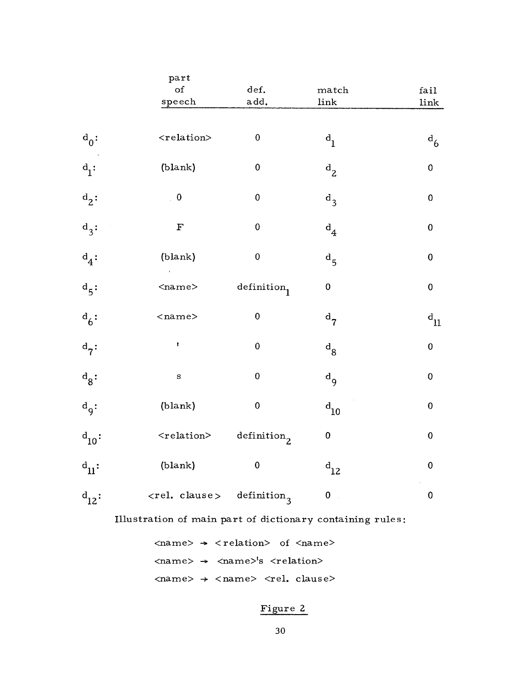|                     | part                                |                             |                  |                |
|---------------------|-------------------------------------|-----------------------------|------------------|----------------|
|                     | of                                  | def.                        | match            | fail           |
|                     | speech                              | add.                        | link             | $_{\rm link}$  |
|                     |                                     |                             |                  |                |
| $d_0$ :             | <relation></relation>               | $\pmb{0}$                   | $\mathbf{d}_1$   | $\mathbf{d}_6$ |
|                     |                                     |                             |                  |                |
| $d_1$ :             | (blank)                             | $\pmb{0}$                   | d <sub>2</sub>   | $\pmb{0}$      |
|                     |                                     |                             |                  |                |
| $d_2$ :             | $\overline{0}$                      | $\pmb{0}$                   | $d_3$            | $\pmb{0}$      |
|                     |                                     |                             |                  |                |
| $d_3$ :             | $\mathbf F$                         | $\pmb{0}$                   | $\mathbf{d}_{4}$ | $\pmb{0}$      |
|                     |                                     |                             |                  |                |
| $d_4$ :             | (blank)                             | $\pmb{0}$                   | $d_{5}$          | $\bf{0}$       |
|                     | $<$ name $>$                        |                             | $\mathbf{O}$     | $\pmb{0}$      |
| $d_{5}$ :           |                                     | definition <sub>1</sub>     |                  |                |
| $d_6$ :             | $<$ name $>$                        | 0                           | $d_{7}$          | $d_{11}$       |
|                     |                                     |                             |                  |                |
| $d_{7}$ :           | t                                   | $\pmb{0}$                   | $d_8$            | $\mathbf 0$    |
|                     |                                     |                             |                  |                |
| $d_8$ :             | $\mathbf s$                         | $\pmb{0}$                   | $d_{9}$          | ${\bf 0}$      |
|                     |                                     |                             |                  |                |
| $d_q$ :             | (blank)                             | $\pmb{0}$                   | $d_{10}$         | $\pmb{0}$      |
|                     |                                     |                             |                  |                |
| $d_{10}$ :          | $<$ relation $>$                    | $\det$ inition <sub>2</sub> | $\mathbf{0}$     | $\pmb{0}$      |
|                     |                                     |                             |                  |                |
| $\mathbf{d}_{11}$ : | (blank)                             | $\pmb{0}$                   | $d_{12}$         | $\mathbf 0$    |
|                     |                                     |                             | $\boldsymbol{0}$ | $\pmb{0}$      |
| $d_{12}$ :          | <rel. clause=""> definition,</rel.> |                             |                  |                |

Illustration of main part of dictionary containing rules:

 $\langle$ name>  $\rightarrow$   $\langle$  relation> of  $\langle$ name>  $\langle$ name>  $\rightarrow$   $\langle$ name>'s  $\langle$ relation>  $\langle$ name>  $\rightarrow$   $\langle$ name>  $\langle$ rel. clause>

# Figure 2

 $30<sub>o</sub>$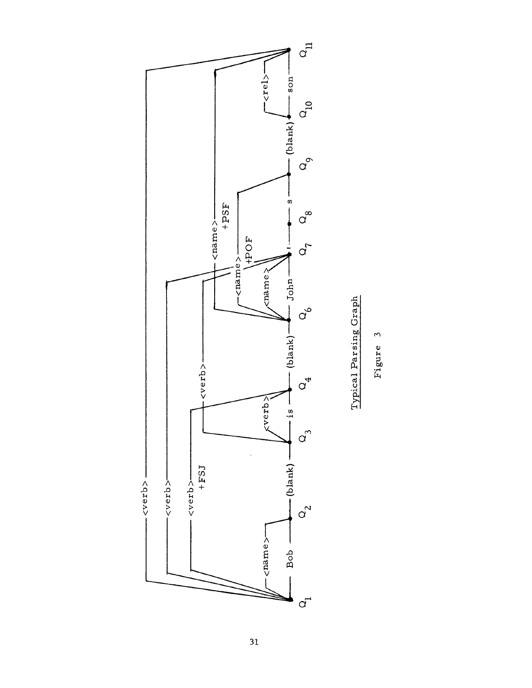



 $\sim$ o k